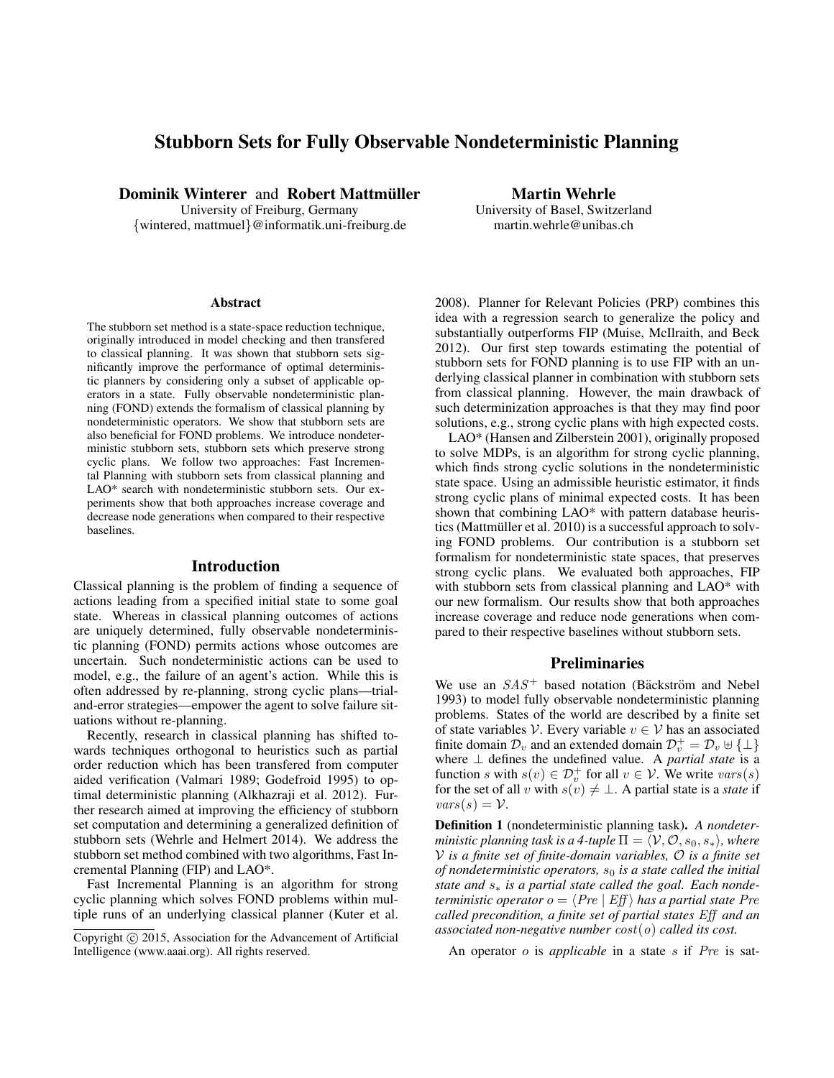# Stubborn Sets for Fully Observable Nondeterministic Planning

Dominik Winterer and Robert Mattmüller

University of Freiburg, Germany {wintered, mattmuel}@informatik.uni-freiburg.de

Martin Wehrle University of Basel, Switzerland martin.wehrle@unibas.ch

#### **Abstract**

The stubborn set method is a state-space reduction technique, originally introduced in model checking and then transfered to classical planning. It was shown that stubborn sets significantly improve the performance of optimal deterministic planners by considering only a subset of applicable operators in a state. Fully observable nondeterministic planning (FOND) extends the formalism of classical planning by nondeterministic operators. We show that stubborn sets are also beneficial for FOND problems. We introduce nondeterministic stubborn sets, stubborn sets which preserve strong cyclic plans. We follow two approaches: Fast Incremental Planning with stubborn sets from classical planning and LAO\* search with nondeterministic stubborn sets. Our experiments show that both approaches increase coverage and decrease node generations when compared to their respective baselines.

#### Introduction

Classical planning is the problem of finding a sequence of actions leading from a specified initial state to some goal state. Whereas in classical planning outcomes of actions are uniquely determined, fully observable nondeterministic planning (FOND) permits actions whose outcomes are uncertain. Such nondeterministic actions can be used to model, e.g., the failure of an agent's action. While this is often addressed by re-planning, strong cyclic plans—trialand-error strategies—empower the agent to solve failure situations without re-planning.

Recently, research in classical planning has shifted towards techniques orthogonal to heuristics such as partial order reduction which has been transfered from computer aided verification (Valmari 1989; Godefroid 1995) to optimal deterministic planning (Alkhazraji et al. 2012). Further research aimed at improving the efficiency of stubborn set computation and determining a generalized definition of stubborn sets (Wehrle and Helmert 2014). We address the stubborn set method combined with two algorithms, Fast Incremental Planning (FIP) and LAO\*.

Fast Incremental Planning is an algorithm for strong cyclic planning which solves FOND problems within multiple runs of an underlying classical planner (Kuter et al. 2008). Planner for Relevant Policies (PRP) combines this idea with a regression search to generalize the policy and substantially outperforms FIP (Muise, McIlraith, and Beck 2012). Our first step towards estimating the potential of stubborn sets for FOND planning is to use FIP with an underlying classical planner in combination with stubborn sets from classical planning. However, the main drawback of such determinization approaches is that they may find poor solutions, e.g., strong cyclic plans with high expected costs.

LAO\* (Hansen and Zilberstein 2001), originally proposed to solve MDPs, is an algorithm for strong cyclic planning, which finds strong cyclic solutions in the nondeterministic state space. Using an admissible heuristic estimator, it finds strong cyclic plans of minimal expected costs. It has been shown that combining LAO\* with pattern database heuristics (Mattmüller et al. 2010) is a successful approach to solving FOND problems. Our contribution is a stubborn set formalism for nondeterministic state spaces, that preserves strong cyclic plans. We evaluated both approaches, FIP with stubborn sets from classical planning and LAO\* with our new formalism. Our results show that both approaches increase coverage and reduce node generations when compared to their respective baselines without stubborn sets.

#### Preliminaries

We use an  $SAS^+$  based notation (Bäckström and Nebel 1993) to model fully observable nondeterministic planning problems. States of the world are described by a finite set of state variables V. Every variable  $v \in V$  has an associated finite domain  $\mathcal{D}_v$  and an extended domain  $\mathcal{D}_v^+ = \mathcal{D}_v \uplus {\{\perp\}}$ where ⊥ defines the undefined value. A *partial state* is a function s with  $s(v) \in \mathcal{D}_{v}^{+}$  for all  $v \in V$ . We write  $vars(s)$ for the set of all v with  $s(v) \neq \perp$ . A partial state is a *state* if  $vars(s) = V$ .

Definition 1 (nondeterministic planning task). *A nondeterministic planning task is a 4-tuple*  $\Pi = \langle V, \mathcal{O}, s_0, s_* \rangle$ , where V *is a finite set of finite-domain variables,* O *is a finite set of nondeterministic operators,*  $s_0$  *is a state called the initial state and* s<sup>∗</sup> *is a partial state called the goal. Each nondeterministic operator*  $o = \langle Pre \mid Eff \rangle$  *has a partial state Pre called precondition, a finite set of partial states* Eff *and an associated non-negative number* cost(o) *called its cost.*

An operator o is *applicable* in a state s if Pre is sat-

Copyright  $\odot$  2015, Association for the Advancement of Artificial Intelligence (www.aaai.org). All rights reserved.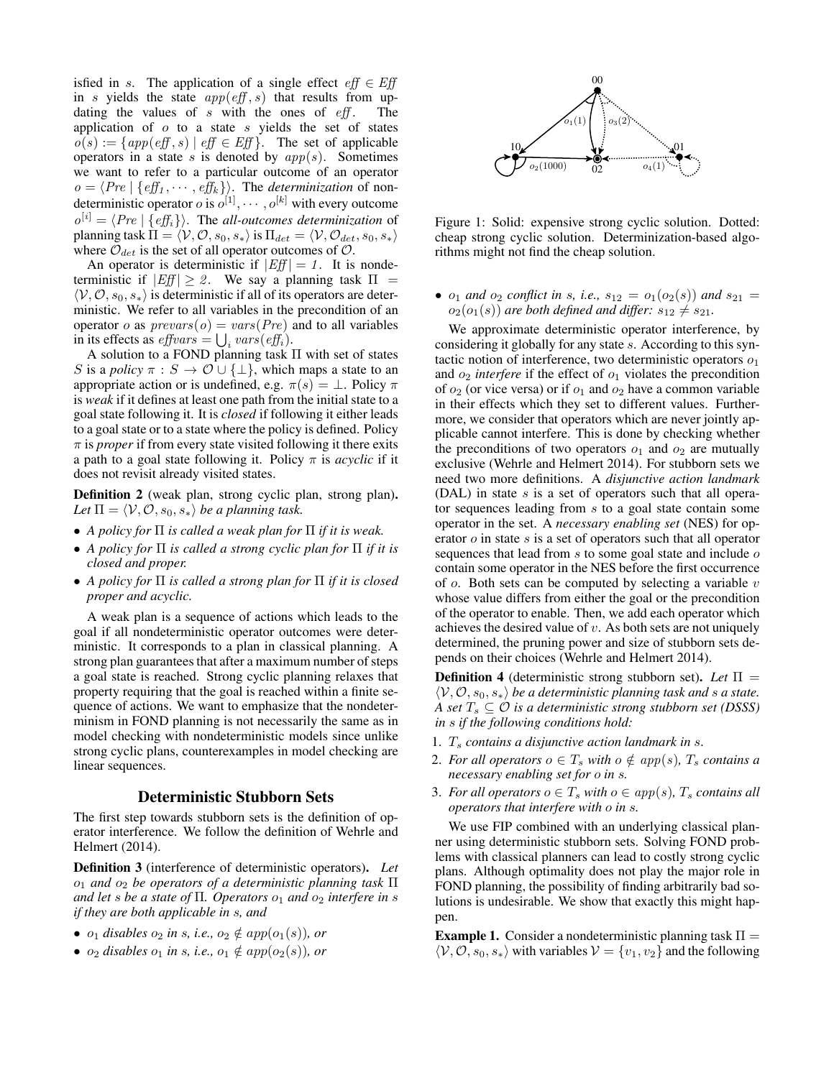isfied in s. The application of a single effect  $eff \in Eff$ in s yields the state  $app(eff, s)$  that results from updating the values of  $s$  with the ones of  $\epsilon ff$ . The application of  $o$  to a state  $s$  yields the set of states  $o(s) := \{app(eff, s) | eff \in Eff\}$ . The set of applicable operators in a state s is denoted by  $app(s)$ . Sometimes we want to refer to a particular outcome of an operator  $o = \langle Pre \mid \{ \text{eff}_1 , \cdots , \text{eff}_k \} \rangle$ . The *determinization* of nondeterministic operator *o* is  $o^{[1]}, \cdots, o^{[k]}$  with every outcome  $o^{[i]} = \langle Pre \mid \{ \text{eff}_i \} \rangle$ . The *all-outcomes determinization* of planning task  $\Pi = \langle V, O, s_0, s_* \rangle$  is  $\Pi_{det} = \langle V, O_{det}, s_0, s_* \rangle$ where  $\mathcal{O}_{det}$  is the set of all operator outcomes of  $\mathcal{O}$ .

An operator is deterministic if  $|Ef| = 1$ . It is nondeterministic if  $|Ef| \ge 2$ . We say a planning task  $\Pi$  =  $\langle V, O, s_0, s_* \rangle$  is deterministic if all of its operators are deterministic. We refer to all variables in the precondition of an operator o as  $prevars(o) = vars(Pre)$  and to all variables in its effects as  $\textit{effvars} = \bigcup_i \textit{vars}(\textit{eff}_i)$ .

A solution to a FOND planning task Π with set of states S is a *policy*  $\pi : S \to \mathcal{O} \cup \{\perp\}$ , which maps a state to an appropriate action or is undefined, e.g.  $\pi(s) = \bot$ . Policy  $\pi$ is *weak* if it defines at least one path from the initial state to a goal state following it. It is *closed* if following it either leads to a goal state or to a state where the policy is defined. Policy  $\pi$  is *proper* if from every state visited following it there exits a path to a goal state following it. Policy  $\pi$  is *acyclic* if it does not revisit already visited states.

Definition 2 (weak plan, strong cyclic plan, strong plan). *Let*  $\Pi = \langle V, O, s_0, s_* \rangle$  *be a planning task.* 

- *A policy for* Π *is called a weak plan for* Π *if it is weak.*
- *A policy for* Π *is called a strong cyclic plan for* Π *if it is closed and proper.*
- *A policy for* Π *is called a strong plan for* Π *if it is closed proper and acyclic.*

A weak plan is a sequence of actions which leads to the goal if all nondeterministic operator outcomes were deterministic. It corresponds to a plan in classical planning. A strong plan guarantees that after a maximum number of steps a goal state is reached. Strong cyclic planning relaxes that property requiring that the goal is reached within a finite sequence of actions. We want to emphasize that the nondeterminism in FOND planning is not necessarily the same as in model checking with nondeterministic models since unlike strong cyclic plans, counterexamples in model checking are linear sequences.

#### Deterministic Stubborn Sets

The first step towards stubborn sets is the definition of operator interference. We follow the definition of Wehrle and Helmert (2014).

Definition 3 (interference of deterministic operators). *Let* o<sup>1</sup> *and* o<sup>2</sup> *be operators of a deterministic planning task* Π *and let s be a state of*  $\Pi$ *. Operators*  $o_1$  *and*  $o_2$  *interfere in s if they are both applicable in* s*, and*

- $o_1$  *disables*  $o_2$  *in s, i.e.,*  $o_2 \notin app(o_1(s))$ *, or*
- $o_2$  *disables*  $o_1$  *in s, i.e.,*  $o_1 \notin app(o_2(s))$ *, or*



Figure 1: Solid: expensive strong cyclic solution. Dotted: cheap strong cyclic solution. Determinization-based algorithms might not find the cheap solution.

•  $o_1$  *and*  $o_2$  *conflict in s, i.e.,*  $s_{12} = o_1(o_2(s))$  *and*  $s_{21} = o_2(o_1(s))$  $o_2(o_1(s))$  *are both defined and differ:*  $s_{12} \neq s_{21}$ *.* 

We approximate deterministic operator interference, by considering it globally for any state s. According to this syntactic notion of interference, two deterministic operators  $o_1$ and  $o_2$  *interfere* if the effect of  $o_1$  violates the precondition of  $o_2$  (or vice versa) or if  $o_1$  and  $o_2$  have a common variable in their effects which they set to different values. Furthermore, we consider that operators which are never jointly applicable cannot interfere. This is done by checking whether the preconditions of two operators  $o_1$  and  $o_2$  are mutually exclusive (Wehrle and Helmert 2014). For stubborn sets we need two more definitions. A *disjunctive action landmark* (DAL) in state  $s$  is a set of operators such that all operator sequences leading from s to a goal state contain some operator in the set. A *necessary enabling set* (NES) for operator  $\sigma$  in state  $s$  is a set of operators such that all operator sequences that lead from  $s$  to some goal state and include  $o$ contain some operator in the NES before the first occurrence of  $o$ . Both sets can be computed by selecting a variable  $v$ whose value differs from either the goal or the precondition of the operator to enable. Then, we add each operator which achieves the desired value of  $v$ . As both sets are not uniquely determined, the pruning power and size of stubborn sets depends on their choices (Wehrle and Helmert 2014).

Definition 4 (deterministic strong stubborn set). *Let* Π =  $\langle V, O, s_0, s_* \rangle$  *be a deterministic planning task and s a state. A set*  $T_s \subseteq \mathcal{O}$  *is a deterministic strong stubborn set* (*DSSS*) *in* s *if the following conditions hold:*

- 1.  $T_s$  *contains a disjunctive action landmark in s.*
- 2. *For all operators*  $o \in T_s$  *with*  $o \notin app(s)$ *,*  $T_s$  *contains a necessary enabling set for* o *in* s*.*
- 3. *For all operators*  $o \in T_s$  *with*  $o \in app(s)$ *,*  $T_s$  *contains all operators that interfere with* o *in* s*.*

We use FIP combined with an underlying classical planner using deterministic stubborn sets. Solving FOND problems with classical planners can lead to costly strong cyclic plans. Although optimality does not play the major role in FOND planning, the possibility of finding arbitrarily bad solutions is undesirable. We show that exactly this might happen.

**Example 1.** Consider a nondeterministic planning task  $\Pi$  =  $\langle V, \mathcal{O}, s_0, s_* \rangle$  with variables  $V = \{v_1, v_2\}$  and the following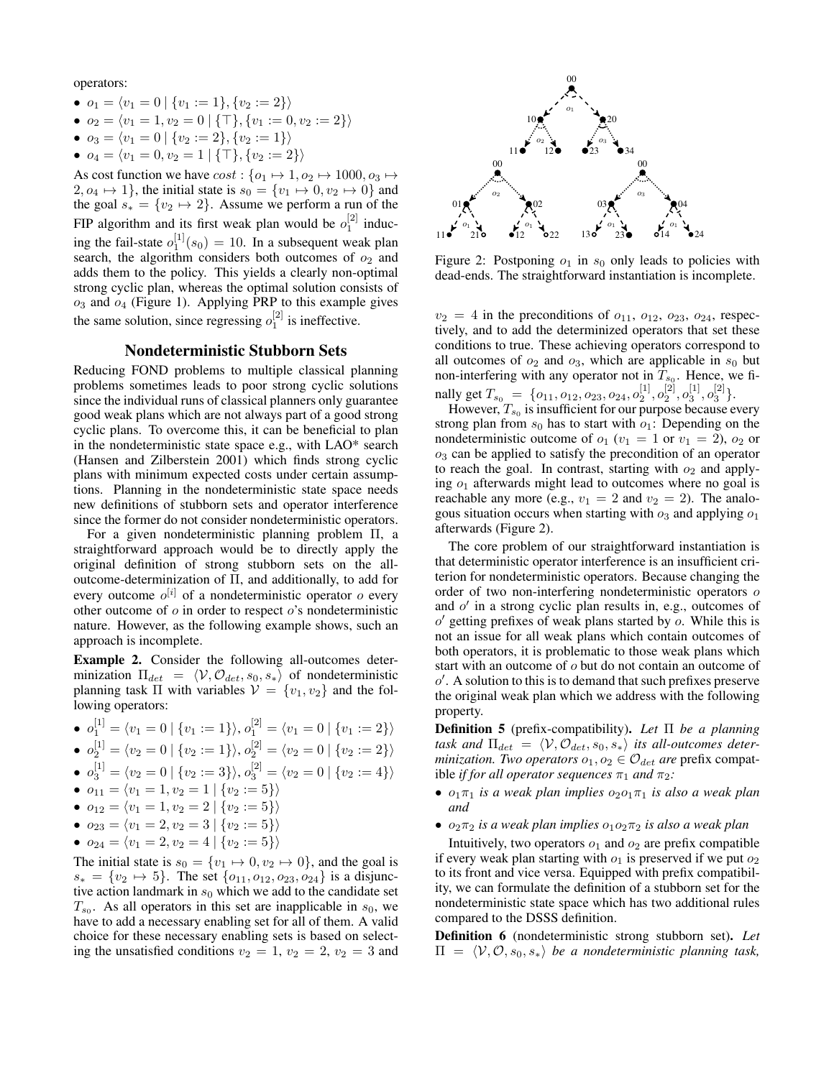operators:

- $o_1 = \langle v_1 = 0 \mid \{v_1 := 1\}, \{v_2 := 2\}\rangle$
- $o_2 = \langle v_1 = 1, v_2 = 0 \mid \{\top\}, \{v_1 := 0, v_2 := 2\}\rangle$
- $o_3 = \langle v_1 = 0 | \{v_2 := 2\}, \{v_2 := 1\} \rangle$
- $o_4 = \langle v_1 = 0, v_2 = 1 | {\{\top\}, \{v_2 := 2\}} \rangle$

As cost function we have  $cost: \{o_1 \mapsto 1, o_2 \mapsto 1000, o_3 \mapsto$  $2, o_4 \mapsto 1$ , the initial state is  $s_0 = \{v_1 \mapsto 0, v_2 \mapsto 0\}$  and the goal  $s_* = \{v_2 \mapsto 2\}$ . Assume we perform a run of the FIP algorithm and its first weak plan would be  $o_1^{[2]}$  inducing the fail-state  $o_1^{[1]}(s_0) = 10$ . In a subsequent weak plan search, the algorithm considers both outcomes of  $o_2$  and adds them to the policy. This yields a clearly non-optimal strong cyclic plan, whereas the optimal solution consists of  $o_3$  and  $o_4$  (Figure 1). Applying PRP to this example gives the same solution, since regressing  $o_1^{[2]}$  is ineffective.

### Nondeterministic Stubborn Sets

Reducing FOND problems to multiple classical planning problems sometimes leads to poor strong cyclic solutions since the individual runs of classical planners only guarantee good weak plans which are not always part of a good strong cyclic plans. To overcome this, it can be beneficial to plan in the nondeterministic state space e.g., with LAO\* search (Hansen and Zilberstein 2001) which finds strong cyclic plans with minimum expected costs under certain assumptions. Planning in the nondeterministic state space needs new definitions of stubborn sets and operator interference since the former do not consider nondeterministic operators.

For a given nondeterministic planning problem Π, a straightforward approach would be to directly apply the original definition of strong stubborn sets on the alloutcome-determinization of Π, and additionally, to add for every outcome  $o^{[i]}$  of a nondeterministic operator  $o$  every other outcome of  $\sigma$  in order to respect  $\sigma$ 's nondeterministic nature. However, as the following example shows, such an approach is incomplete.

Example 2. Consider the following all-outcomes determinization  $\Pi_{det} = \langle V, O_{det}, s_0, s_* \rangle$  of nondeterministic planning task  $\Pi$  with variables  $V = \{v_1, v_2\}$  and the following operators:

- $o_1^{[1]} = \langle v_1 = 0 | \{v_1 := 1\} \rangle, o_1^{[2]} = \langle v_1 = 0 | \{v_1 := 2\} \rangle$
- $o_2^{[1]} = \langle v_2 = 0 \mid \{v_2 := 1\} \rangle, o_2^{[2]} = \langle v_2 = 0 \mid \{v_2 := 2\} \rangle$

• 
$$
o_3^{[1]} = \langle v_2 = 0 | \{v_2 := 3\} \rangle, o_3^{[2]} = \langle v_2 = 0 | \{v_2 := 4\} \rangle
$$

- $o_{11} = \langle v_1 = 1, v_2 = 1 | \{v_2 := 5\} \rangle$
- $o_{12} = \langle v_1 = 1, v_2 = 2 \mid \{v_2 := 5\}\rangle$
- $o_{23} = \langle v_1 = 2, v_2 = 3 \mid \{v_2 := 5\}\rangle$
- $o_{24} = \langle v_1 = 2, v_2 = 4 | \{v_2 := 5\}\rangle$

The initial state is  $s_0 = \{v_1 \mapsto 0, v_2 \mapsto 0\}$ , and the goal is  $s_* = \{v_2 \mapsto 5\}$ . The set  $\{o_{11}, o_{12}, o_{23}, o_{24}\}$  is a disjunctive action landmark in  $s_0$  which we add to the candidate set  $T_{s_0}$ . As all operators in this set are inapplicable in  $s_0$ , we have to add a necessary enabling set for all of them. A valid choice for these necessary enabling sets is based on selecting the unsatisfied conditions  $v_2 = 1$ ,  $v_2 = 2$ ,  $v_2 = 3$  and



Figure 2: Postponing  $o_1$  in  $s_0$  only leads to policies with dead-ends. The straightforward instantiation is incomplete.

 $v_2 = 4$  in the preconditions of  $o_{11}$ ,  $o_{12}$ ,  $o_{23}$ ,  $o_{24}$ , respectively, and to add the determinized operators that set these conditions to true. These achieving operators correspond to all outcomes of  $o_2$  and  $o_3$ , which are applicable in  $s_0$  but non-interfering with any operator not in  $T_{s_0}$ . Hence, we finally get  $T_{s_0} = \{o_{11}, o_{12}, o_{23}, o_{24}, o_2^{[1]}, o_2^{[2]}, o_3^{[1]}, o_3^{[2]}\}.$ 

However,  $T_{s_0}$  is insufficient for our purpose because every strong plan from  $s_0$  has to start with  $o_1$ : Depending on the nondeterministic outcome of  $o_1$  ( $v_1 = 1$  or  $v_1 = 2$ ),  $o_2$  or  $o<sub>3</sub>$  can be applied to satisfy the precondition of an operator to reach the goal. In contrast, starting with  $o_2$  and applying  $o_1$  afterwards might lead to outcomes where no goal is reachable any more (e.g.,  $v_1 = 2$  and  $v_2 = 2$ ). The analogous situation occurs when starting with  $o_3$  and applying  $o_1$ afterwards (Figure 2).

The core problem of our straightforward instantiation is that deterministic operator interference is an insufficient criterion for nondeterministic operators. Because changing the order of two non-interfering nondeterministic operators o and  $o'$  in a strong cyclic plan results in, e.g., outcomes of  $o'$  getting prefixes of weak plans started by  $o$ . While this is not an issue for all weak plans which contain outcomes of both operators, it is problematic to those weak plans which start with an outcome of o but do not contain an outcome of  $o'$ . A solution to this is to demand that such prefixes preserve the original weak plan which we address with the following property.

Definition 5 (prefix-compatibility). *Let* Π *be a planning* task and  $\Pi_{det} = \langle V, O_{det}, s_0, s_* \rangle$  *its all-outcomes determinization. Two operators*  $o_1, o_2 \in \mathcal{O}_{\text{det}}$  *are* prefix compatible *if for all operator sequences*  $\pi_1$  *and*  $\pi_2$ *:* 

- $o_1\pi_1$  *is a weak plan implies*  $o_2o_1\pi_1$  *is also a weak plan and*
- $o_2\pi_2$  *is a weak plan implies*  $o_1o_2\pi_2$  *is also a weak plan*

Intuitively, two operators  $o_1$  and  $o_2$  are prefix compatible if every weak plan starting with  $o_1$  is preserved if we put  $o_2$ to its front and vice versa. Equipped with prefix compatibility, we can formulate the definition of a stubborn set for the nondeterministic state space which has two additional rules compared to the DSSS definition.

Definition 6 (nondeterministic strong stubborn set). *Let*  $\Pi = \langle V, \mathcal{O}, s_0, s_* \rangle$  *be a nondeterministic planning task,*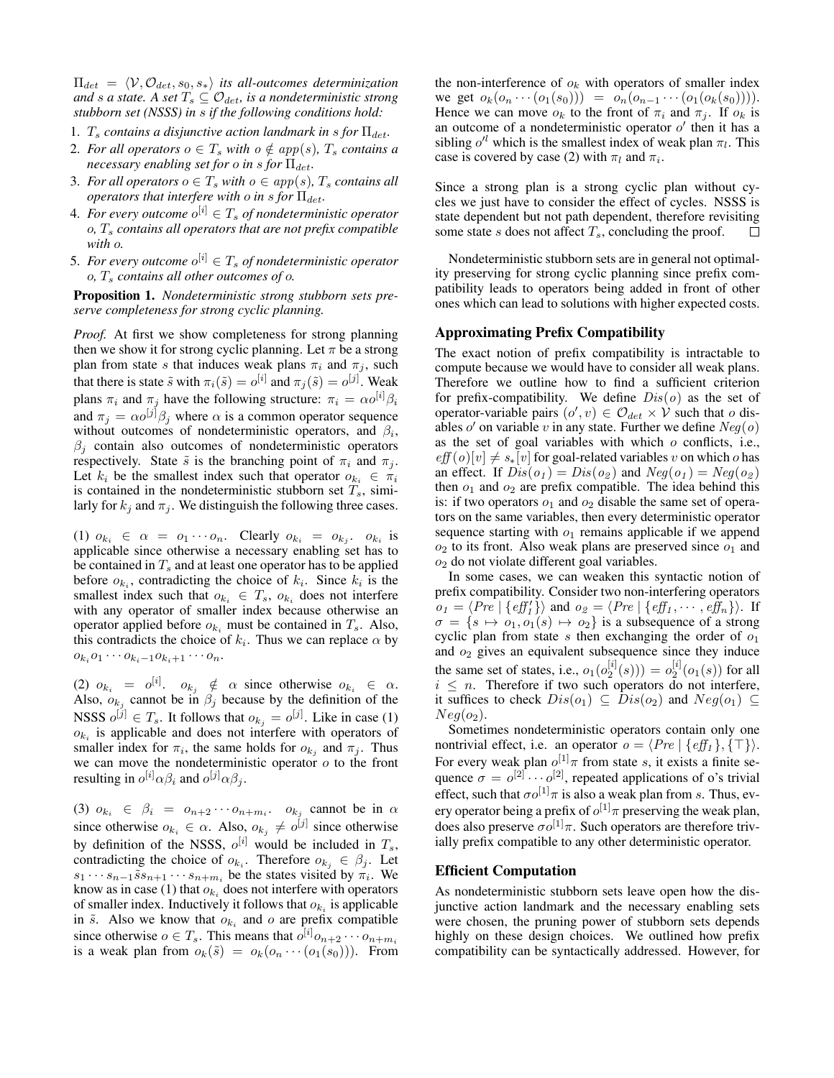$\Pi_{det} = \langle V, O_{det}, s_0, s_* \rangle$  *its all-outcomes determinization and s a state.* A *set*  $T_s \subseteq \mathcal{O}_{det}$ *, is a nondeterministic strong stubborn set (NSSS) in* s *if the following conditions hold:*

- 1.  $T_s$  *contains a disjunctive action landmark in s for*  $\Pi_{det}$ .
- 2. *For all operators*  $o \in T_s$  *with*  $o \notin app(s)$ *,*  $T_s$  *contains a necessary enabling set for o in s for*  $\Pi_{det}$ .
- 3. *For all operators*  $o \in T_s$  *with*  $o \in app(s)$ *,*  $T_s$  *contains all operators that interfere with o in s for*  $\Pi_{det}$ .
- 4. For every outcome  $o^{[i]} \in T_s$  of nondeterministic operator  $o, T_s$  *contains all operators that are not prefix compatible with* o*.*
- 5. For every outcome  $o^{[i]} \in T_s$  of nondeterministic operator o*,* T<sup>s</sup> *contains all other outcomes of* o*.*

Proposition 1. *Nondeterministic strong stubborn sets preserve completeness for strong cyclic planning.*

*Proof.* At first we show completeness for strong planning then we show it for strong cyclic planning. Let  $\pi$  be a strong plan from state s that induces weak plans  $\pi_i$  and  $\pi_j$ , such that there is state  $\tilde{s}$  with  $\pi_i(\tilde{s}) = o^{[i]}$  and  $\pi_j(\tilde{s}) = o^{[j]}$ . Weak plans  $\pi_i$  and  $\pi_j$  have the following structure:  $\pi_i = \alpha o^{[i]} \beta_i$ and  $\pi_j = \alpha o^{[j]} \beta_j$  where  $\alpha$  is a common operator sequence without outcomes of nondeterministic operators, and  $\beta_i$ ,  $\beta_j$  contain also outcomes of nondeterministic operators respectively. State  $\tilde{s}$  is the branching point of  $\pi_i$  and  $\pi_j$ . Let  $k_i$  be the smallest index such that operator  $o_{k_i} \in \pi_i$ is contained in the nondeterministic stubborn set  $T_s$ , similarly for  $k_j$  and  $\pi_j$ . We distinguish the following three cases.

(1)  $o_{k_i} \in \alpha = o_1 \cdots o_n$ . Clearly  $o_{k_i} = o_{k_j}$ ,  $o_{k_i}$  is applicable since otherwise a necessary enabling set has to be contained in  $T_s$  and at least one operator has to be applied before  $o_{k_i}$ , contradicting the choice of  $k_i$ . Since  $k_i$  is the smallest index such that  $o_{k_i} \in T_s$ ,  $o_{k_i}$  does not interfere with any operator of smaller index because otherwise an operator applied before  $o_{k_i}$  must be contained in  $T_s$ . Also, this contradicts the choice of  $k_i$ . Thus we can replace  $\alpha$  by  $o_{k_i} o_1 \cdots o_{k_i-1} o_{k_i+1} \cdots o_n.$ 

(2)  $o_{k_i} = o^{[i]}$ .  $o_{k_j} \notin \alpha$  since otherwise  $o_{k_i} \in \alpha$ . Also,  $o_{k_j}$  cannot be in  $\beta_j$  because by the definition of the NSSS  $o^{[j]} \in T_s$ . It follows that  $o_{k_j} = o^{[j]}$ . Like in case (1)  $o_{k_i}$  is applicable and does not interfere with operators of smaller index for  $\pi_i$ , the same holds for  $o_{k_j}$  and  $\pi_j$ . Thus we can move the nondeterministic operator  $o$  to the front resulting in  $o^{[i]} \alpha \beta_i$  and  $o^{[j]} \alpha \beta_j$ .

(3)  $o_{k_i} \in \beta_i = o_{n+2} \cdots o_{n+m_i}$   $o_{k_j}$  cannot be in  $\alpha$ since otherwise  $o_{k_i} \in \alpha$ . Also,  $o_{k_j} \neq o^{[j]}$  since otherwise by definition of the NSSS,  $o^{[i]}$  would be included in  $T_s$ , contradicting the choice of  $o_{k_i}$ . Therefore  $o_{k_j} \in \beta_j$ . Let  $s_1 \cdots s_{n-1} \tilde{s} s_{n+1} \cdots s_{n+m_i}$  be the states visited by  $\pi_i$ . We know as in case (1) that  $o_{k_i}$  does not interfere with operators of smaller index. Inductively it follows that  $o_{k_i}$  is applicable in  $\tilde{s}$ . Also we know that  $o_{k_i}$  and  $o$  are prefix compatible since otherwise  $o \in T_s$ . This means that  $o^{[i]} o_{n+2} \cdots o_{n+m_i}$ is a weak plan from  $o_k(\tilde{s}) = o_k(o_n \cdots (o_1(s_0)))$ . From the non-interference of  $o_k$  with operators of smaller index we get  $o_k(o_n \cdots (o_1(s_0))) = o_n(o_{n-1} \cdots (o_1(o_k(s_0))))$ . Hence we can move  $o_k$  to the front of  $\pi_i$  and  $\pi_j$ . If  $o_k$  is an outcome of a nondeterministic operator  $o'$  then it has a sibling  $o^{l}$  which is the smallest index of weak plan  $\pi_l$ . This case is covered by case (2) with  $\pi_l$  and  $\pi_i$ .

Since a strong plan is a strong cyclic plan without cycles we just have to consider the effect of cycles. NSSS is state dependent but not path dependent, therefore revisiting some state s does not affect  $T_s$ , concluding the proof.  $\Box$ 

Nondeterministic stubborn sets are in general not optimality preserving for strong cyclic planning since prefix compatibility leads to operators being added in front of other ones which can lead to solutions with higher expected costs.

#### Approximating Prefix Compatibility

The exact notion of prefix compatibility is intractable to compute because we would have to consider all weak plans. Therefore we outline how to find a sufficient criterion for prefix-compatibility. We define  $Dis(0)$  as the set of operator-variable pairs  $(o', v) \in \mathcal{O}_{det} \times V$  such that o disables  $o'$  on variable v in any state. Further we define  $Neg(o)$ as the set of goal variables with which  $o$  conflicts, i.e.,  $eff(o)[v] \neq s_*[v]$  for goal-related variables v on which o has an effect. If  $Dis(o_1) = Dis(o_2)$  and  $Neg(o_1) = Neg(o_2)$ then  $o_1$  and  $o_2$  are prefix compatible. The idea behind this is: if two operators  $o_1$  and  $o_2$  disable the same set of operators on the same variables, then every deterministic operator sequence starting with  $o_1$  remains applicable if we append  $o_2$  to its front. Also weak plans are preserved since  $o_1$  and  $o_2$  do not violate different goal variables.

In some cases, we can weaken this syntactic notion of prefix compatibility. Consider two non-interfering operators  $o_1 = \langle Pre \mid \{ \text{eff}_1' \} \rangle$  and  $o_2 = \langle Pre \mid \{ \text{eff}_1 , \cdots , \text{eff}_n \} \rangle$ . If  $\sigma = \{s \mapsto o_1, o_1(s) \mapsto o_2\}$  is a subsequence of a strong cyclic plan from state s then exchanging the order of  $o_1$ and  $o_2$  gives an equivalent subsequence since they induce the same set of states, i.e.,  $o_1(o_2^{[i]}(s))) = o_2^{[i]}(o_1(s))$  for all  $i \leq n$ . Therefore if two such operators do not interfere, it suffices to check  $Dis(o_1) \subseteq Dis(o_2)$  and  $Neg(o_1) \subseteq$  $Neq(o_2)$ .

Sometimes nondeterministic operators contain only one nontrivial effect, i.e. an operator  $o = \langle Pre | \{ eff_1 \}, \{ \top \} \rangle$ . For every weak plan  $o^{[1]} \pi$  from state s, it exists a finite sequence  $\sigma = o^{[2]} \cdots o^{[2]}$ , repeated applications of o's trivial effect, such that  $\sigma o^{[1]} \pi$  is also a weak plan from s. Thus, every operator being a prefix of  $o^{[1]}$   $\pi$  preserving the weak plan, does also preserve  $\sigma o^{[1]} \pi$ . Such operators are therefore trivially prefix compatible to any other deterministic operator.

#### Efficient Computation

As nondeterministic stubborn sets leave open how the disjunctive action landmark and the necessary enabling sets were chosen, the pruning power of stubborn sets depends highly on these design choices. We outlined how prefix compatibility can be syntactically addressed. However, for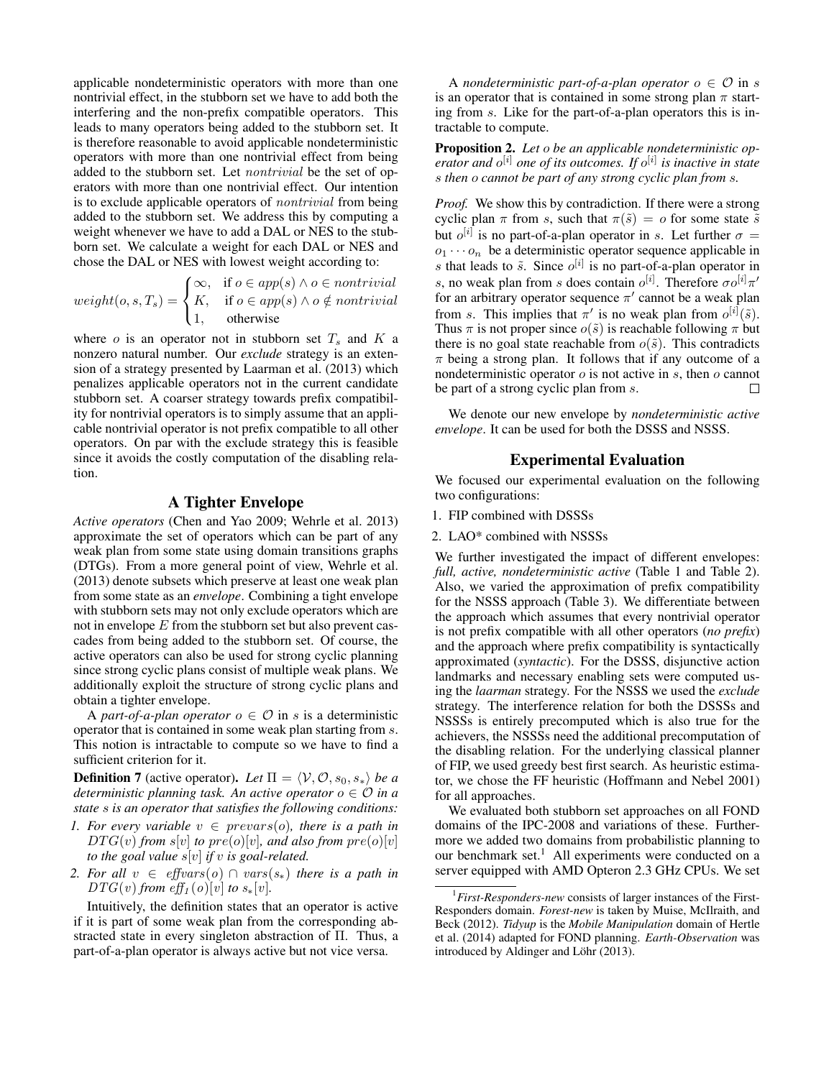applicable nondeterministic operators with more than one nontrivial effect, in the stubborn set we have to add both the interfering and the non-prefix compatible operators. This leads to many operators being added to the stubborn set. It is therefore reasonable to avoid applicable nondeterministic operators with more than one nontrivial effect from being added to the stubborn set. Let *nontrivial* be the set of operators with more than one nontrivial effect. Our intention is to exclude applicable operators of nontrivial from being added to the stubborn set. We address this by computing a weight whenever we have to add a DAL or NES to the stubborn set. We calculate a weight for each DAL or NES and chose the DAL or NES with lowest weight according to:

$$
weight(o, s, T_s) = \begin{cases} \infty, & \text{if } o \in app(s) \land o \in nontrivial \\ K, & \text{if } o \in app(s) \land o \notin nontrivial \\ 1, & \text{otherwise} \end{cases}
$$

where  $o$  is an operator not in stubborn set  $T_s$  and  $K$  a nonzero natural number. Our *exclude* strategy is an extension of a strategy presented by Laarman et al. (2013) which penalizes applicable operators not in the current candidate stubborn set. A coarser strategy towards prefix compatibility for nontrivial operators is to simply assume that an applicable nontrivial operator is not prefix compatible to all other operators. On par with the exclude strategy this is feasible since it avoids the costly computation of the disabling relation.

### A Tighter Envelope

*Active operators* (Chen and Yao 2009; Wehrle et al. 2013) approximate the set of operators which can be part of any weak plan from some state using domain transitions graphs (DTGs). From a more general point of view, Wehrle et al. (2013) denote subsets which preserve at least one weak plan from some state as an *envelope*. Combining a tight envelope with stubborn sets may not only exclude operators which are not in envelope  $E$  from the stubborn set but also prevent cascades from being added to the stubborn set. Of course, the active operators can also be used for strong cyclic planning since strong cyclic plans consist of multiple weak plans. We additionally exploit the structure of strong cyclic plans and obtain a tighter envelope.

A *part-of-a-plan operator*  $o \in \mathcal{O}$  in s is a deterministic operator that is contained in some weak plan starting from s. This notion is intractable to compute so we have to find a sufficient criterion for it.

**Definition 7** (active operator). Let  $\Pi = \langle V, \mathcal{O}, s_0, s_* \rangle$  *be a deterministic planning task. An active operator*  $o \in \mathcal{O}$  *in a state* s *is an operator that satisfies the following conditions:*

- *1. For every variable*  $v \in prevars(o)$ *, there is a path in*  $DTG(v)$  *from*  $s[v]$  *to*  $pre(o)[v]$ *, and also from*  $pre(o)[v]$ *to the goal value* s[v] *if* v *is goal-related.*
- *2. For all*  $v \in \text{effvars}(o) \cap \text{vars}(s_*)$  *there is a path in*  $DTG(v)$  *from*  $eff_1(o)[v]$  *to*  $s_*[v]$ *.*

Intuitively, the definition states that an operator is active if it is part of some weak plan from the corresponding abstracted state in every singleton abstraction of Π. Thus, a part-of-a-plan operator is always active but not vice versa.

A *nondeterministic part-of-a-plan operator*  $o \in \mathcal{O}$  in s is an operator that is contained in some strong plan  $\pi$  starting from s. Like for the part-of-a-plan operators this is intractable to compute.

Proposition 2. *Let* o *be an applicable nondeterministic operator and* o [i] *one of its outcomes. If* o [i] *is inactive in state* s *then* o *cannot be part of any strong cyclic plan from* s*.*

*Proof.* We show this by contradiction. If there were a strong cyclic plan  $\pi$  from s, such that  $\pi(\tilde{s}) = o$  for some state  $\tilde{s}$ but  $o^{[i]}$  is no part-of-a-plan operator in s. Let further  $\sigma =$  $o_1 \cdots o_n$  be a deterministic operator sequence applicable in s that leads to  $\tilde{s}$ . Since  $o^{[i]}$  is no part-of-a-plan operator in s, no weak plan from s does contain  $o^{[i]}$ . Therefore  $\sigma o^{[i]} \pi'$ for an arbitrary operator sequence  $\pi'$  cannot be a weak plan from s. This implies that  $\pi'$  is no weak plan from  $o^{[i]}(\tilde{s})$ . Thus  $\pi$  is not proper since  $o(\tilde{s})$  is reachable following  $\pi$  but there is no goal state reachable from  $o(\tilde{s})$ . This contradicts  $\pi$  being a strong plan. It follows that if any outcome of a nondeterministic operator  $o$  is not active in  $s$ , then  $o$  cannot be part of a strong cyclic plan from s.

We denote our new envelope by *nondeterministic active envelope*. It can be used for both the DSSS and NSSS.

### Experimental Evaluation

We focused our experimental evaluation on the following two configurations:

#### 1. FIP combined with DSSSs

2. LAO\* combined with NSSSs

We further investigated the impact of different envelopes: *full, active, nondeterministic active* (Table 1 and Table 2). Also, we varied the approximation of prefix compatibility for the NSSS approach (Table 3). We differentiate between the approach which assumes that every nontrivial operator is not prefix compatible with all other operators (*no prefix*) and the approach where prefix compatibility is syntactically approximated (*syntactic*). For the DSSS, disjunctive action landmarks and necessary enabling sets were computed using the *laarman* strategy. For the NSSS we used the *exclude* strategy. The interference relation for both the DSSSs and NSSSs is entirely precomputed which is also true for the achievers, the NSSSs need the additional precomputation of the disabling relation. For the underlying classical planner of FIP, we used greedy best first search. As heuristic estimator, we chose the FF heuristic (Hoffmann and Nebel 2001) for all approaches.

We evaluated both stubborn set approaches on all FOND domains of the IPC-2008 and variations of these. Furthermore we added two domains from probabilistic planning to our benchmark set.<sup>1</sup> All experiments were conducted on a server equipped with AMD Opteron 2.3 GHz CPUs. We set

<sup>1</sup>*First-Responders-new* consists of larger instances of the First-Responders domain. *Forest-new* is taken by Muise, McIlraith, and Beck (2012). *Tidyup* is the *Mobile Manipulation* domain of Hertle et al. (2014) adapted for FOND planning. *Earth-Observation* was introduced by Aldinger and Löhr (2013).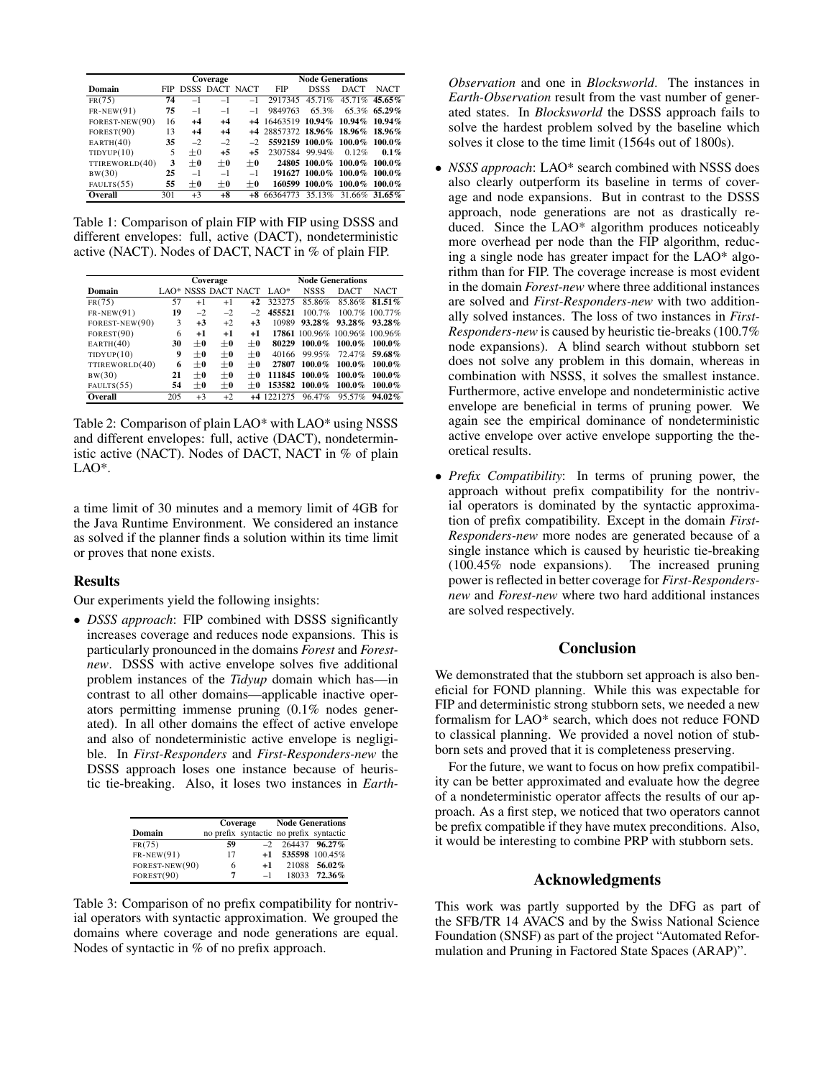|                | Coverage |      |                       | <b>Node Generations</b>  |                                  |                     |             |               |
|----------------|----------|------|-----------------------|--------------------------|----------------------------------|---------------------|-------------|---------------|
| Domain         | FIP -    |      | <b>DSSS DACT NACT</b> |                          | <b>FIP</b>                       | <b>DSSS</b>         | <b>DACT</b> | <b>NACT</b>   |
| FR(75)         | 74       | $-1$ | $-1$                  | $-1$                     | 2917345                          | 45.71%              |             | 45.71% 45.65% |
| $FR-NEW(91)$   | 75       | $-1$ | $-1$                  | $-1$                     | 9849763                          | 65.3%               |             | 65.3% 65.29%  |
| FOREST-NEW(90) | 16       | $+4$ | $+4$                  |                          | +4 16463519 10.94%               |                     | $10.94\%$   | $10.94\%$     |
| FOREST(90)     | 13       | $+4$ | $+4$                  |                          | +4 28857372 18.96% 18.96% 18.96% |                     |             |               |
| EARTH(40)      | 35       | $-2$ | $-2$                  | $\overline{\phantom{a}}$ | 5592159 100.0% 100.0%            |                     |             | $100.0\%$     |
| TIDYUP(10)     | 5        | $+0$ | $+5$                  | $+5$                     | 2307584 99.94%                   |                     | 0.12%       | $0.1\%$       |
| TTIREWORLD(40) | 3        | $+0$ | $+0$                  | $+0$                     |                                  | 24805 100.0% 100.0% |             | $100.0\%$     |
| BW(30)         | 25       | $-1$ | $-1$                  | $-1$                     |                                  | 191627 100.0%       | $100.0\%$   | $100.0\%$     |
| FAULTS(55)     | 55       | $+0$ | $+0$                  | $+0$                     | 160599                           | 100.0%              | $100.0\%$   | $100.0\%$     |
| Overall        | 301      | $+3$ | $+8$                  |                          | 66364773                         | 35.13%              |             | 31.66% 31.65% |

Table 1: Comparison of plain FIP with FIP using DSSS and different envelopes: full, active (DACT), nondeterministic active (NACT). Nodes of DACT, NACT in % of plain FIP.

|                | Coverage |         |         |                     | <b>Node Generations</b> |             |                               |                |
|----------------|----------|---------|---------|---------------------|-------------------------|-------------|-------------------------------|----------------|
| Domain         |          |         |         | LAO* NSSS DACT NACT | $LAO^*$                 | <b>NSSS</b> | <b>DACT</b>                   | <b>NACT</b>    |
| FR(75)         | 57       | $+1$    | $+1$    | $+2$                | 323275                  | 85.86%      | 85.86%                        | $81.51\%$      |
| $FR-NEW(91)$   | 19       | $-2$    | $-2$    | $-2$                | 455521                  | 100.7%      |                               | 100.7% 100.77% |
| FOREST-NEW(90) | 3        | $+3$    | $+2$    | $+3$                | 10989                   | $93.28\%$   | $93.28\%$                     | $93.28\%$      |
| FOREST(90)     | 6        | $+1$    | $+1$    | $+1$                |                         |             | 17861 100.96% 100.96% 100.96% |                |
| EARTH(40)      | 30       | $\pm$ 0 | $+0$    | $\pm 0$             | 80229                   | $100.0\%$   | $100.0\%$                     | $100.0\%$      |
| TIDYUP(10)     | 9        | $+0$    | $+0$    | $+0$                | 40166                   | 99.95%      | 72.47%                        | 59.68%         |
| TTIREWORLD(40) | 6        | $\pm$ 0 | $+0$    | $+0$                | 27807                   | $100.0\%$   | $100.0\%$                     | $100.0\%$      |
| BW(30)         | 21       | $\pm$ 0 | $+0$    | $+0$                | 111845                  | $100.0\%$   | 100.0%                        | $100.0\%$      |
| FAULTS(55)     | 54       | $\pm$ 0 | $\pm 0$ | $+0$                | 153582                  | $100.0\%$   | $100.0\%$                     | $100.0\%$      |
| Overall        | 205      | $+3$    | $+2$    |                     | +4 1221275              | 96.47%      | 95.57%                        | $94.02\%$      |

Table 2: Comparison of plain LAO\* with LAO\* using NSSS and different envelopes: full, active (DACT), nondeterministic active (NACT). Nodes of DACT, NACT in % of plain LAO\*.

a time limit of 30 minutes and a memory limit of 4GB for the Java Runtime Environment. We considered an instance as solved if the planner finds a solution within its time limit or proves that none exists.

### Results

Our experiments yield the following insights:

• *DSSS approach*: FIP combined with DSSS significantly increases coverage and reduces node expansions. This is particularly pronounced in the domains *Forest* and *Forestnew*. DSSS with active envelope solves five additional problem instances of the *Tidyup* domain which has—in contrast to all other domains—applicable inactive operators permitting immense pruning (0.1% nodes generated). In all other domains the effect of active envelope and also of nondeterministic active envelope is negligible. In *First-Responders* and *First-Responders-new* the DSSS approach loses one instance because of heuristic tie-breaking. Also, it loses two instances in *Earth-*

|                |    | Coverage | <b>Node Generations</b>                 |                |  |
|----------------|----|----------|-----------------------------------------|----------------|--|
| Domain         |    |          | no prefix syntactic no prefix syntactic |                |  |
| FR(75)         | 59 | $-2$     |                                         | 264437 96.27%  |  |
| $FR-NEW(91)$   | 17 | $+1$     |                                         | 535598 100.45% |  |
| FOREST-NEW(90) | 6  | $+1$     |                                         | 21088 56.02%   |  |
| FOREST(90)     | 7  | $-1$     |                                         | 18033 72.36%   |  |

Table 3: Comparison of no prefix compatibility for nontrivial operators with syntactic approximation. We grouped the domains where coverage and node generations are equal. Nodes of syntactic in % of no prefix approach.

*Observation* and one in *Blocksworld*. The instances in *Earth-Observation* result from the vast number of generated states. In *Blocksworld* the DSSS approach fails to solve the hardest problem solved by the baseline which solves it close to the time limit (1564s out of 1800s).

- *NSSS approach*: LAO\* search combined with NSSS does also clearly outperform its baseline in terms of coverage and node expansions. But in contrast to the DSSS approach, node generations are not as drastically reduced. Since the LAO\* algorithm produces noticeably more overhead per node than the FIP algorithm, reducing a single node has greater impact for the LAO\* algorithm than for FIP. The coverage increase is most evident in the domain *Forest-new* where three additional instances are solved and *First-Responders-new* with two additionally solved instances. The loss of two instances in *First-Responders-new* is caused by heuristic tie-breaks (100.7% node expansions). A blind search without stubborn set does not solve any problem in this domain, whereas in combination with NSSS, it solves the smallest instance. Furthermore, active envelope and nondeterministic active envelope are beneficial in terms of pruning power. We again see the empirical dominance of nondeterministic active envelope over active envelope supporting the theoretical results.
- *Prefix Compatibility*: In terms of pruning power, the approach without prefix compatibility for the nontrivial operators is dominated by the syntactic approximation of prefix compatibility. Except in the domain *First-Responders-new* more nodes are generated because of a single instance which is caused by heuristic tie-breaking (100.45% node expansions). The increased pruning power is reflected in better coverage for *First-Respondersnew* and *Forest-new* where two hard additional instances are solved respectively.

## Conclusion

We demonstrated that the stubborn set approach is also beneficial for FOND planning. While this was expectable for FIP and deterministic strong stubborn sets, we needed a new formalism for LAO\* search, which does not reduce FOND to classical planning. We provided a novel notion of stubborn sets and proved that it is completeness preserving.

For the future, we want to focus on how prefix compatibility can be better approximated and evaluate how the degree of a nondeterministic operator affects the results of our approach. As a first step, we noticed that two operators cannot be prefix compatible if they have mutex preconditions. Also, it would be interesting to combine PRP with stubborn sets.

### Acknowledgments

This work was partly supported by the DFG as part of the SFB/TR 14 AVACS and by the Swiss National Science Foundation (SNSF) as part of the project "Automated Reformulation and Pruning in Factored State Spaces (ARAP)".